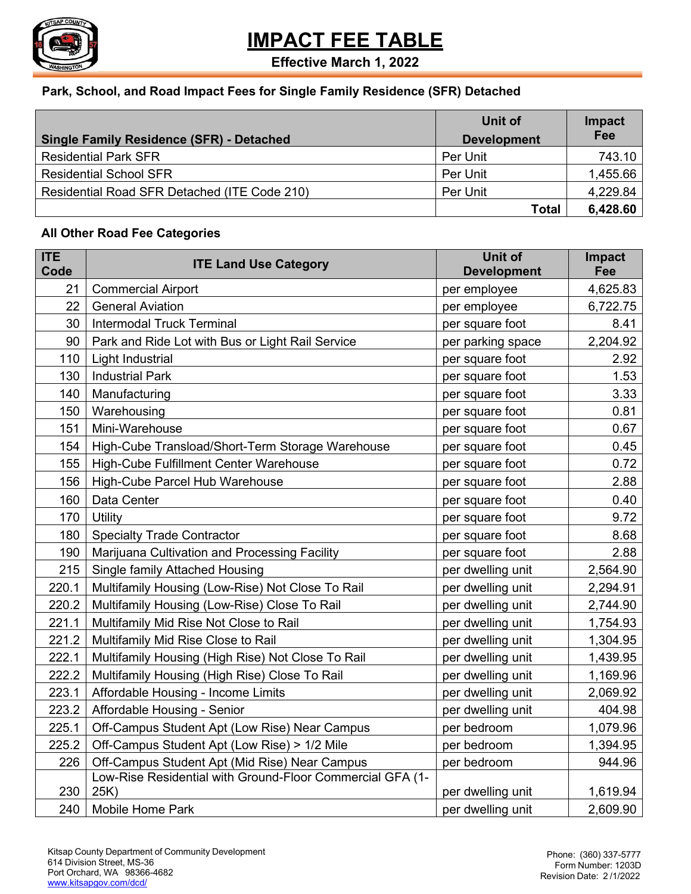

**Effective March 1, 2022**

#### **Park, School, and Road Impact Fees for Single Family Residence (SFR) Detached**

|                                                 | Unit of            | Impact   |
|-------------------------------------------------|--------------------|----------|
| <b>Single Family Residence (SFR) - Detached</b> | <b>Development</b> | Fee      |
| <b>Residential Park SFR</b>                     | Per Unit           | 743.10   |
| <b>Residential School SFR</b>                   | Per Unit           | 1,455.66 |
| Residential Road SFR Detached (ITE Code 210)    | Per Unit           | 4,229.84 |
|                                                 | <b>Total</b>       | 6,428.60 |

#### **All Other Road Fee Categories**

| <b>ITE</b><br>Code | <b>ITE Land Use Category</b>                                      | Unit of<br><b>Development</b> | Impact<br>Fee |
|--------------------|-------------------------------------------------------------------|-------------------------------|---------------|
| 21                 | <b>Commercial Airport</b>                                         | per employee                  | 4,625.83      |
| 22                 | <b>General Aviation</b>                                           | per employee                  | 6,722.75      |
| 30                 | <b>Intermodal Truck Terminal</b>                                  | per square foot               | 8.41          |
| 90                 | Park and Ride Lot with Bus or Light Rail Service                  | per parking space             | 2,204.92      |
| 110                | <b>Light Industrial</b>                                           | per square foot               | 2.92          |
| 130                | <b>Industrial Park</b>                                            | per square foot               | 1.53          |
| 140                | Manufacturing                                                     | per square foot               | 3.33          |
| 150                | Warehousing                                                       | per square foot               | 0.81          |
| 151                | Mini-Warehouse                                                    | per square foot               | 0.67          |
| 154                | High-Cube Transload/Short-Term Storage Warehouse                  | per square foot               | 0.45          |
| 155                | High-Cube Fulfillment Center Warehouse                            | per square foot               | 0.72          |
| 156                | High-Cube Parcel Hub Warehouse                                    | per square foot               | 2.88          |
| 160                | Data Center                                                       | per square foot               | 0.40          |
| 170                | Utility                                                           | per square foot               | 9.72          |
| 180                | <b>Specialty Trade Contractor</b>                                 | per square foot               | 8.68          |
| 190                | Marijuana Cultivation and Processing Facility                     | per square foot               | 2.88          |
| 215                | Single family Attached Housing                                    | per dwelling unit             | 2,564.90      |
| 220.1              | Multifamily Housing (Low-Rise) Not Close To Rail                  | per dwelling unit             | 2,294.91      |
| 220.2              | Multifamily Housing (Low-Rise) Close To Rail                      | per dwelling unit             | 2,744.90      |
| 221.1              | Multifamily Mid Rise Not Close to Rail                            | per dwelling unit             | 1,754.93      |
| 221.2              | Multifamily Mid Rise Close to Rail                                | per dwelling unit             | 1,304.95      |
| 222.1              | Multifamily Housing (High Rise) Not Close To Rail                 | per dwelling unit             | 1,439.95      |
| 222.2              | Multifamily Housing (High Rise) Close To Rail                     | per dwelling unit             | 1,169.96      |
| 223.1              | Affordable Housing - Income Limits                                | per dwelling unit             | 2,069.92      |
| 223.2              | Affordable Housing - Senior                                       | per dwelling unit             | 404.98        |
| 225.1              | Off-Campus Student Apt (Low Rise) Near Campus                     | per bedroom                   | 1,079.96      |
| 225.2              | Off-Campus Student Apt (Low Rise) > 1/2 Mile                      | per bedroom                   | 1,394.95      |
| 226                | Off-Campus Student Apt (Mid Rise) Near Campus                     | per bedroom                   | 944.96        |
| 230                | Low-Rise Residential with Ground-Floor Commercial GFA (1-<br>25K) | per dwelling unit             | 1,619.94      |
| 240                | <b>Mobile Home Park</b>                                           | per dwelling unit             | 2,609.90      |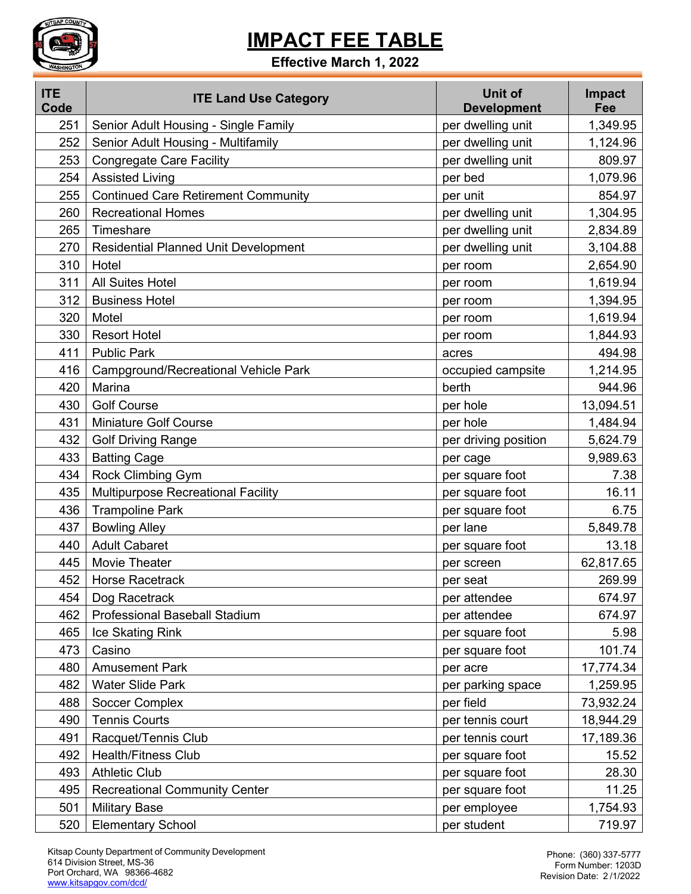

### **Effective March 1, 2022**

| <b>ITE</b><br>Code | <b>ITE Land Use Category</b>                | <b>Unit of</b><br><b>Development</b> | <b>Impact</b><br>Fee |
|--------------------|---------------------------------------------|--------------------------------------|----------------------|
| 251                | Senior Adult Housing - Single Family        | per dwelling unit                    | 1,349.95             |
| 252                | Senior Adult Housing - Multifamily          | per dwelling unit                    | 1,124.96             |
| 253                | <b>Congregate Care Facility</b>             | per dwelling unit                    | 809.97               |
| 254                | <b>Assisted Living</b>                      | per bed                              | 1,079.96             |
| 255                | <b>Continued Care Retirement Community</b>  | per unit                             | 854.97               |
| 260                | <b>Recreational Homes</b>                   | per dwelling unit                    | 1,304.95             |
| 265                | Timeshare                                   | per dwelling unit                    | 2,834.89             |
| 270                | <b>Residential Planned Unit Development</b> | per dwelling unit                    | 3,104.88             |
| 310                | Hotel                                       | per room                             | 2,654.90             |
| 311                | <b>All Suites Hotel</b>                     | per room                             | 1,619.94             |
| 312                | <b>Business Hotel</b>                       | per room                             | 1,394.95             |
| 320                | Motel                                       | per room                             | 1,619.94             |
| 330                | <b>Resort Hotel</b>                         | per room                             | 1,844.93             |
| 411                | <b>Public Park</b>                          | acres                                | 494.98               |
| 416                | Campground/Recreational Vehicle Park        | occupied campsite                    | 1,214.95             |
| 420                | Marina                                      | berth                                | 944.96               |
| 430                | <b>Golf Course</b>                          | per hole                             | 13,094.51            |
| 431                | <b>Miniature Golf Course</b>                | per hole                             | 1,484.94             |
| 432                | <b>Golf Driving Range</b>                   | per driving position                 | 5,624.79             |
| 433                | <b>Batting Cage</b>                         | per cage                             | 9,989.63             |
| 434                | Rock Climbing Gym                           | per square foot                      | 7.38                 |
| 435                | <b>Multipurpose Recreational Facility</b>   | per square foot                      | 16.11                |
| 436                | <b>Trampoline Park</b>                      | per square foot                      | 6.75                 |
| 437                | <b>Bowling Alley</b>                        | per lane                             | 5,849.78             |
| 440                | <b>Adult Cabaret</b>                        | per square foot                      | 13.18                |
| 445                | Movie Theater                               | per screen                           | 62,817.65            |
| 452                | <b>Horse Racetrack</b>                      | per seat                             | 269.99               |
| 454                | Dog Racetrack                               | per attendee                         | 674.97               |
| 462                | <b>Professional Baseball Stadium</b>        | per attendee                         | 674.97               |
| 465                | Ice Skating Rink                            | per square foot                      | 5.98                 |
| 473                | Casino                                      | per square foot                      | 101.74               |
| 480                | <b>Amusement Park</b>                       | per acre                             | 17,774.34            |
| 482                | <b>Water Slide Park</b>                     | per parking space                    | 1,259.95             |
| 488                | Soccer Complex                              | per field                            | 73,932.24            |
| 490                | <b>Tennis Courts</b>                        | per tennis court                     | 18,944.29            |
| 491                | Racquet/Tennis Club                         | per tennis court                     | 17,189.36            |
| 492                | <b>Health/Fitness Club</b>                  | per square foot                      | 15.52                |
| 493                | <b>Athletic Club</b>                        | per square foot                      | 28.30                |
| 495                | <b>Recreational Community Center</b>        | per square foot                      | 11.25                |
| 501                | <b>Military Base</b>                        | per employee                         | 1,754.93             |
| 520                | <b>Elementary School</b>                    | per student                          | 719.97               |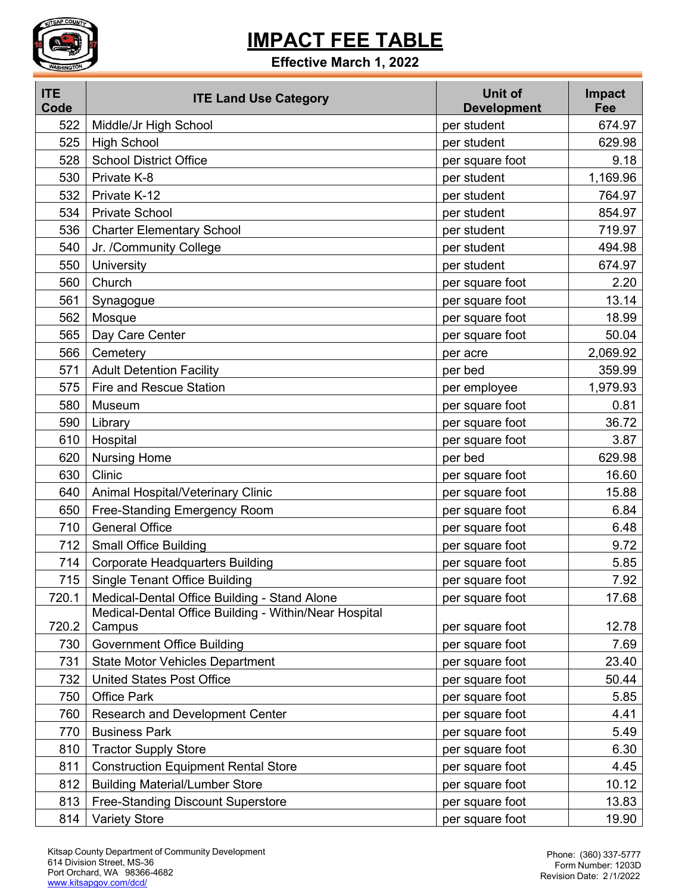

### **Effective March 1, 2022**

| <b>ITE</b><br>Code | <b>ITE Land Use Category</b>                          | Unit of<br><b>Development</b> | Impact<br>Fee |
|--------------------|-------------------------------------------------------|-------------------------------|---------------|
| 522                | Middle/Jr High School                                 | per student                   | 674.97        |
| 525                | <b>High School</b>                                    | per student                   | 629.98        |
| 528                | <b>School District Office</b>                         | per square foot               | 9.18          |
| 530                | Private K-8                                           | per student                   | 1,169.96      |
| 532                | Private K-12                                          | per student                   | 764.97        |
| 534                | <b>Private School</b>                                 | per student                   | 854.97        |
| 536                | <b>Charter Elementary School</b>                      | per student                   | 719.97        |
| 540                | Jr. /Community College                                | per student                   | 494.98        |
| 550                | University                                            | per student                   | 674.97        |
| 560                | Church                                                | per square foot               | 2.20          |
| 561                | Synagogue                                             | per square foot               | 13.14         |
| 562                | Mosque                                                | per square foot               | 18.99         |
| 565                | Day Care Center                                       | per square foot               | 50.04         |
| 566                | Cemetery                                              | per acre                      | 2,069.92      |
| 571                | <b>Adult Detention Facility</b>                       | per bed                       | 359.99        |
| 575                | <b>Fire and Rescue Station</b>                        | per employee                  | 1,979.93      |
| 580                | Museum                                                | per square foot               | 0.81          |
| 590                | Library                                               | per square foot               | 36.72         |
| 610                | Hospital                                              | per square foot               | 3.87          |
| 620                | <b>Nursing Home</b>                                   | per bed                       | 629.98        |
| 630                | Clinic                                                | per square foot               | 16.60         |
| 640                | Animal Hospital/Veterinary Clinic                     | per square foot               | 15.88         |
| 650                | Free-Standing Emergency Room                          | per square foot               | 6.84          |
| 710                | <b>General Office</b>                                 | per square foot               | 6.48          |
| 712                | <b>Small Office Building</b>                          | per square foot               | 9.72          |
| 714                | <b>Corporate Headquarters Building</b>                | per square foot               | 5.85          |
| 715                | <b>Single Tenant Office Building</b>                  | per square foot               | 7.92          |
| 720.1              | Medical-Dental Office Building - Stand Alone          | per square foot               | 17.68         |
|                    | Medical-Dental Office Building - Within/Near Hospital |                               |               |
| 720.2              | Campus                                                | per square foot               | 12.78         |
| 730                | <b>Government Office Building</b>                     | per square foot               | 7.69          |
| 731                | <b>State Motor Vehicles Department</b>                | per square foot               | 23.40         |
| 732                | <b>United States Post Office</b>                      | per square foot               | 50.44         |
| 750                | <b>Office Park</b>                                    | per square foot               | 5.85          |
| 760                | <b>Research and Development Center</b>                | per square foot               | 4.41          |
| 770                | <b>Business Park</b>                                  | per square foot               | 5.49          |
| 810                | <b>Tractor Supply Store</b>                           | per square foot               | 6.30          |
| 811                | <b>Construction Equipment Rental Store</b>            | per square foot               | 4.45          |
| 812                | <b>Building Material/Lumber Store</b>                 | per square foot               | 10.12         |
| 813                | <b>Free-Standing Discount Superstore</b>              | per square foot               | 13.83         |
| 814                | <b>Variety Store</b>                                  | per square foot               | 19.90         |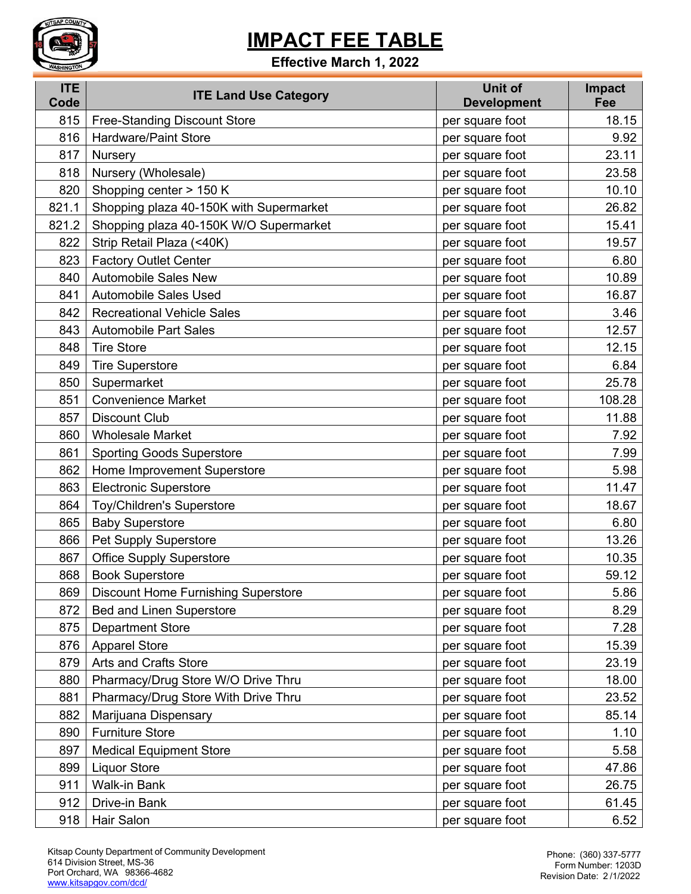

#### **Effective March 1, 2022**

| <b>ITE</b><br>Code | <b>ITE Land Use Category</b>               | Unit of<br><b>Development</b> | Impact<br>Fee |
|--------------------|--------------------------------------------|-------------------------------|---------------|
| 815                | <b>Free-Standing Discount Store</b>        | per square foot               | 18.15         |
| 816                | <b>Hardware/Paint Store</b>                | per square foot               | 9.92          |
| 817                | <b>Nursery</b>                             | per square foot               | 23.11         |
| 818                | Nursery (Wholesale)                        | per square foot               | 23.58         |
| 820                | Shopping center > 150 K                    | per square foot               | 10.10         |
| 821.1              | Shopping plaza 40-150K with Supermarket    | per square foot               | 26.82         |
| 821.2              | Shopping plaza 40-150K W/O Supermarket     | per square foot               | 15.41         |
| 822                | Strip Retail Plaza (<40K)                  | per square foot               | 19.57         |
| 823                | <b>Factory Outlet Center</b>               | per square foot               | 6.80          |
| 840                | <b>Automobile Sales New</b>                | per square foot               | 10.89         |
| 841                | <b>Automobile Sales Used</b>               | per square foot               | 16.87         |
| 842                | <b>Recreational Vehicle Sales</b>          | per square foot               | 3.46          |
| 843                | <b>Automobile Part Sales</b>               | per square foot               | 12.57         |
| 848                | <b>Tire Store</b>                          | per square foot               | 12.15         |
| 849                | <b>Tire Superstore</b>                     | per square foot               | 6.84          |
| 850                | Supermarket                                | per square foot               | 25.78         |
| 851                | <b>Convenience Market</b>                  | per square foot               | 108.28        |
| 857                | <b>Discount Club</b>                       | per square foot               | 11.88         |
| 860                | <b>Wholesale Market</b>                    | per square foot               | 7.92          |
| 861                | <b>Sporting Goods Superstore</b>           | per square foot               | 7.99          |
| 862                | Home Improvement Superstore                | per square foot               | 5.98          |
| 863                | <b>Electronic Superstore</b>               | per square foot               | 11.47         |
| 864                | Toy/Children's Superstore                  | per square foot               | 18.67         |
| 865                | <b>Baby Superstore</b>                     | per square foot               | 6.80          |
| 866                | Pet Supply Superstore                      | per square foot               | 13.26         |
| 867                | <b>Office Supply Superstore</b>            | per square foot               | 10.35         |
| 868                | <b>Book Superstore</b>                     | per square foot               | 59.12         |
| 869                | <b>Discount Home Furnishing Superstore</b> | per square foot               | 5.86          |
| 872                | <b>Bed and Linen Superstore</b>            | per square foot               | 8.29          |
| 875                | <b>Department Store</b>                    | per square foot               | 7.28          |
| 876                | <b>Apparel Store</b>                       | per square foot               | 15.39         |
| 879                | Arts and Crafts Store                      | per square foot               | 23.19         |
| 880                | Pharmacy/Drug Store W/O Drive Thru         | per square foot               | 18.00         |
| 881                | Pharmacy/Drug Store With Drive Thru        | per square foot               | 23.52         |
| 882                | Marijuana Dispensary                       | per square foot               | 85.14         |
| 890                | <b>Furniture Store</b>                     | per square foot               | 1.10          |
| 897                | <b>Medical Equipment Store</b>             | per square foot               | 5.58          |
| 899                | <b>Liquor Store</b>                        | per square foot               | 47.86         |
| 911                | Walk-in Bank                               | per square foot               | 26.75         |
| 912                | Drive-in Bank                              | per square foot               | 61.45         |
| 918                | Hair Salon                                 | per square foot               | 6.52          |